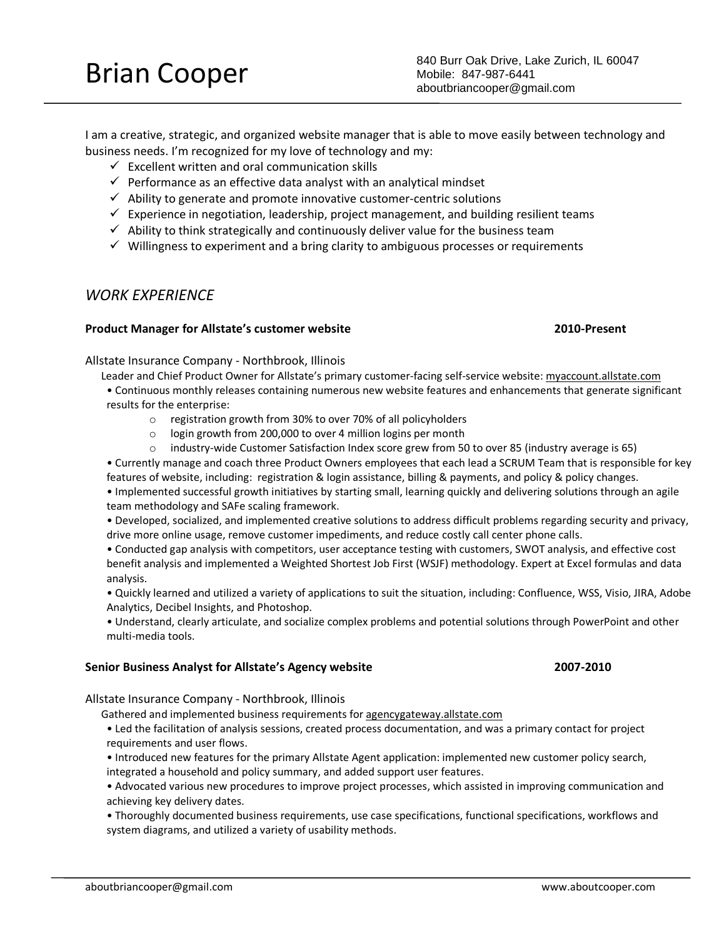I am a creative, strategic, and organized website manager that is able to move easily between technology and business needs. I'm recognized for my love of technology and my:

- $\checkmark$  Excellent written and oral communication skills
- $\checkmark$  Performance as an effective data analyst with an analytical mindset
- $\checkmark$  Ability to generate and promote innovative customer-centric solutions
- $\checkmark$  Experience in negotiation, leadership, project management, and building resilient teams
- $\checkmark$  Ability to think strategically and continuously deliver value for the business team
- $\checkmark$  Willingness to experiment and a bring clarity to ambiguous processes or requirements

## *WORK EXPERIENCE*

### **Product Manager for Allstate's customer website 2010-Present**

Allstate Insurance Company - Northbrook, Illinois

- Leader and Chief Product Owner for Allstate's primary customer-facing self-service website: myaccount.allstate.com • Continuous monthly releases containing numerous new website features and enhancements that generate significant results for the enterprise:
	- o registration growth from 30% to over 70% of all policyholders
	- o login growth from 200,000 to over 4 million logins per month
	- o industry-wide Customer Satisfaction Index score grew from 50 to over 85 (industry average is 65)

• Currently manage and coach three Product Owners employees that each lead a SCRUM Team that is responsible for key features of website, including: registration & login assistance, billing & payments, and policy & policy changes.

• Implemented successful growth initiatives by starting small, learning quickly and delivering solutions through an agile team methodology and SAFe scaling framework.

• Developed, socialized, and implemented creative solutions to address difficult problems regarding security and privacy, drive more online usage, remove customer impediments, and reduce costly call center phone calls.

• Conducted gap analysis with competitors, user acceptance testing with customers, SWOT analysis, and effective cost benefit analysis and implemented a Weighted Shortest Job First (WSJF) methodology. Expert at Excel formulas and data analysis.

• Quickly learned and utilized a variety of applications to suit the situation, including: Confluence, WSS, Visio, JIRA, Adobe Analytics, Decibel Insights, and Photoshop.

• Understand, clearly articulate, and socialize complex problems and potential solutions through PowerPoint and other multi-media tools.

### **Senior Business Analyst for Allstate's Agency website 2007-2010**

Allstate Insurance Company - Northbrook, Illinois

Gathered and implemented business requirements for agencygateway.allstate.com

• Led the facilitation of analysis sessions, created process documentation, and was a primary contact for project requirements and user flows.

• Introduced new features for the primary Allstate Agent application: implemented new customer policy search, integrated a household and policy summary, and added support user features.

• Advocated various new procedures to improve project processes, which assisted in improving communication and achieving key delivery dates.

• Thoroughly documented business requirements, use case specifications, functional specifications, workflows and system diagrams, and utilized a variety of usability methods.

Brian Cooper 840 Burr Oak Drive, Lake Zurich, IL 60047<br>Mobile: 847-987-6441 Mobile: 847-987-6441 aboutbriancooper@gmail.com